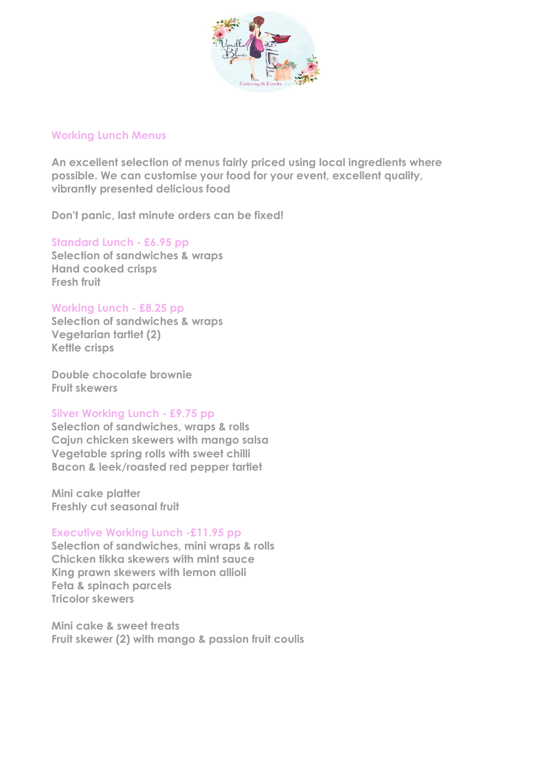

## **Working Lunch Menus**

**An excellent selection of menus fairly priced using local ingredients where possible. We can customise your food for your event, excellent quality, vibrantly presented delicious food**

**Don't panic, last minute orders can be fixed!**

**Standard Lunch - £6.95 pp Selection of sandwiches & wraps Hand cooked crisps Fresh fruit**

## **Working Lunch - £8.25 pp**

**Selection of sandwiches & wraps Vegetarian tartlet (2) Kettle crisps**

**Double chocolate brownie Fruit skewers**

# **Silver Working Lunch - £9.75 pp**

**Selection of sandwiches, wraps & rolls Cajun chicken skewers with mango salsa Vegetable spring rolls with sweet chilli Bacon & leek/roasted red pepper tartlet**

**Mini cake platter Freshly cut seasonal fruit**

# **Executive Working Lunch -£11.95 pp**

**Selection of sandwiches, mini wraps & rolls Chicken tikka skewers with mint sauce King prawn skewers with lemon allioli Feta & spinach parcels Tricolor skewers**

**Mini cake & sweet treats Fruit skewer (2) with mango & passion fruit coulis**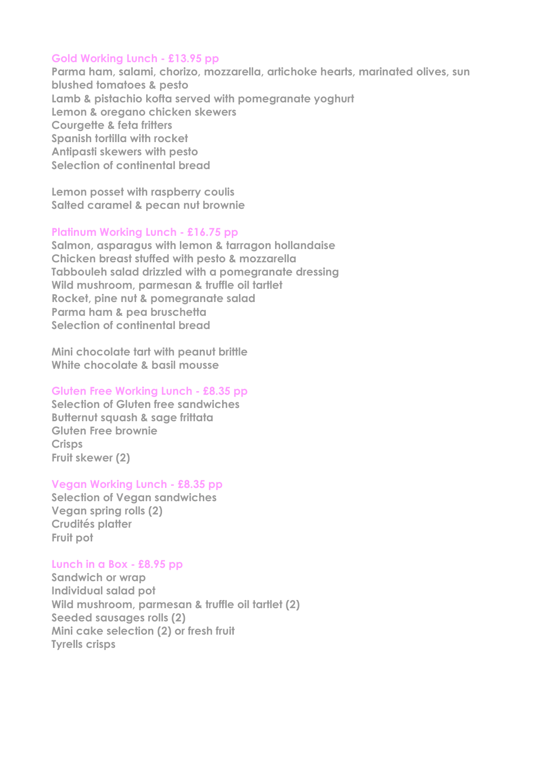## **Gold Working Lunch - £13.95 pp**

**Parma ham, salami, chorizo, mozzarella, artichoke hearts, marinated olives, sun blushed tomatoes & pesto Lamb & pistachio kofta served with pomegranate yoghurt Lemon & oregano chicken skewers Courgette & feta fritters Spanish tortilla with rocket Antipasti skewers with pesto Selection of continental bread** 

**Lemon posset with raspberry coulis Salted caramel & pecan nut brownie** 

### **Platinum Working Lunch - £16.75 pp**

**Salmon, asparagus with lemon & tarragon hollandaise Chicken breast stuffed with pesto & mozzarella Tabbouleh salad drizzled with a pomegranate dressing Wild mushroom, parmesan & truffle oil tartlet Rocket, pine nut & pomegranate salad Parma ham & pea bruschetta Selection of continental bread**

**Mini chocolate tart with peanut brittle White chocolate & basil mousse** 

### **Gluten Free Working Lunch - £8.35 pp**

**Selection of Gluten free sandwiches Butternut squash & sage frittata Gluten Free brownie Crisps Fruit skewer (2)**

## **Vegan Working Lunch - £8.35 pp**

**Selection of Vegan sandwiches Vegan spring rolls (2) Crudités platter Fruit pot**

#### **Lunch in a Box - £8.95 pp**

**Sandwich or wrap Individual salad pot Wild mushroom, parmesan & truffle oil tartlet (2) Seeded sausages rolls (2) Mini cake selection (2) or fresh fruit Tyrells crisps**